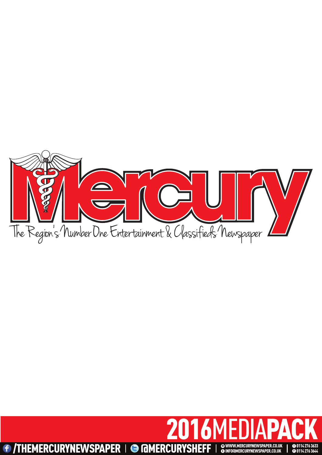

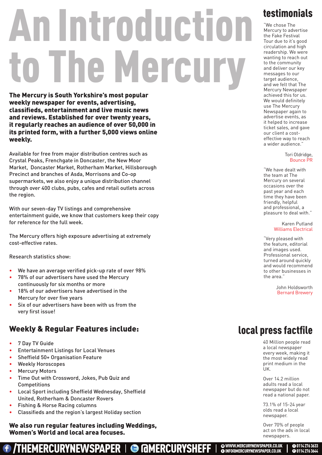# An introduction The Mercury

The Mercury is South Yorkshire's most popular weekly newspaper for events, advertising, classifieds, entertainment and live music news and reviews. Established for over twenty years, it regularly reaches an audience of over 50,000 in its printed form, with a further 5,000 views online weekly.

Available for free from major distribution centres such as Crystal Peaks, Frenchgate in Doncaster, the New Moor Market, Doncaster Market, Rotherham Market, Hillsborough Precinct and branches of Asda, Morrisons and Co-op supermarkets, we also enjoy a unique distribution channel through over 400 clubs, pubs, cafes and retail outlets across the region.

With our seven-day TV listings and comprehensive entertainment guide, we know that customers keep their copy for reference for the full week.

The Mercury offers high exposure advertising at extremely cost-effective rates.

Research statistics show:

- We have an average verified pick-up rate of over 98%
- 78% of our advertisers have used the Mercury continuously for six months or more
- 18% of our advertisers have advertised in the Mercury for over five years
- Six of our advertisers have been with us from the very first issue!

### Weekly & Regular Features include:

- 7 Day TV Guide
- Entertainment Listings for Local Venues
- Sheffield 50+ Organisation Feature
- Weekly Horoscopes
- **Mercury Motors**
- Time Out with Crossword, Jokes, Pub Quiz and Competitions
- Local Sport including Sheffield Wednesday, Sheffield United, Rotherham & Doncaster Rovers
- Fishing & Horse Racing columns
- Classifieds and the region's largest Holiday section

 We also run regular features including Weddings, Women's World and local area focuses.

/THEMERCURYNEWSPAPER | @ MERCURYSHEFF |

## testimonials

"We chose The Mercury to advertise the Fake Festival Tour due to it's good circulation and high readership. We were wanting to reach out to the community and deliver our key messages to our target audience. and we felt that The Mercury Newspaper achieved this for us. We would definitely use The Mercury Newspaper again to advertise events, as it helped to increase ticket sales, and gave our client a costeffective way to reach a wider audience."

#### Tori Oldridge, Bounce PR

"We have dealt with the team at The Mercury on several occasions over the past year and each time they have been friendly, helpful and professional, a pleasure to deal with."

> Karen Putland Williams Electrical

"Very pleased with the feature, editorial and images used. Professional service, turned around quickly and would recommend to other businesses in the area."

> John Holdsworth Bernard Brewery

## local press factfile

40 Million people read a local newspaper every week, making it the most widely read print medium in the UK.

Over 14.2 million adults read a local newspaper but do not read a national paper.

73.1% of 15-24 year olds read a local newspaper.

Over 70% of people act on the ads in local newspapers.

**@WWW.MERCURYNEWSPAPER.CO.UK**<br>@INFO@MERCURYNEWSPAPER.CO.UK

**0** 0114 276 3633 **d** 0114 276 3644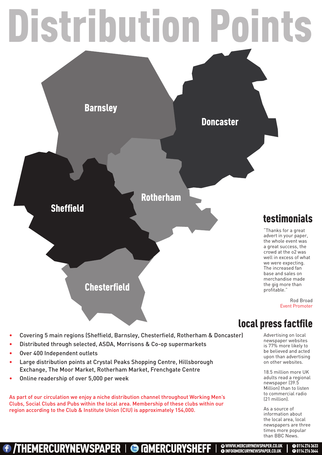

## local press factfile

- Covering 5 main regions (Sheffield, Barnsley, Chesterfield, Rotherham & Doncaster)
- Distributed through selected, ASDA, Morrisons & Co-op supermarkets
- Over 400 Independent outlets
- Large distribution points at Crystal Peaks Shopping Centre, Hillsborough Exchange, The Moor Market, Rotherham Market, Frenchgate Centre
- Online readership of over 5,000 per week

As part of our circulation we enjoy a niche distribution channel throughout Working Men's Clubs, Social Clubs and Pubs within the local area. Membership of these clubs within our region according to the Club & Institute Union (CIU) is approximately 154,000.

Advertising on local newspaper websites is 77% more likely to be believed and acted upon than advertising on other websites.

18.5 million more UK adults read a regional newspaper (39.5 Million) than to listen to commercial radio (21 million).

As a source of information about the local area, local newspapers are three times more popular than BBC News.

> **0** 0114 276 3633 **d** 0114 276 3644

/THEMERCURYNEWSPAPER | **@ MMERCURYSHEFF** | @www.mercurynewsPAPER.co.uk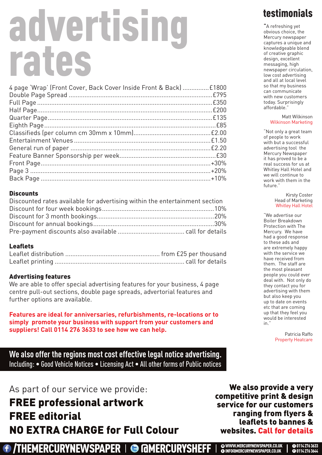# advertising rates

| 4 page 'Wrap' (Front Cover, Back Cover Inside Front & Back)  £1800 |  |
|--------------------------------------------------------------------|--|
|                                                                    |  |
|                                                                    |  |
|                                                                    |  |
|                                                                    |  |
|                                                                    |  |
|                                                                    |  |
|                                                                    |  |
|                                                                    |  |
|                                                                    |  |
|                                                                    |  |
|                                                                    |  |
|                                                                    |  |
|                                                                    |  |

### **Discounts**

| Discounted rates available for advertising within the entertainment section |  |
|-----------------------------------------------------------------------------|--|
|                                                                             |  |
|                                                                             |  |
|                                                                             |  |
|                                                                             |  |

### **Leaflets**

### Advertising features

We are able to offer special advertising features for your business, 4 page centre pull-out sections, double page spreads, advertorial features and further options are available.

**Features are ideal for anniversaries, refurbishments, re-locations or to simply promote your business with support from your customers and suppliers! Call 0114 276 3633 to see how we can help.**

**We also offer the regions most cost effective legal notice advertising.** Including: • Good Vehicle Notices • Licensing Act • All other forms of Public notices

### As part of our service we provide:

FREE professional artwork FREE editorial NO EXTRA CHARGE for Full Colour

## *f* /THEMERCURYNEWSPAPER | @ MERCURYSHEFF

## testimonials

"A refreshing yet obvious choice, the Mercury newspaper captures a unique and knowledgeable blend of creative graphic design, excellent messaging, high newspaper circulation, low cost advertising and all at local level so that my business can communicate with new customers today. Surprisingly affordable."

#### Matt Wilkinson Wilkinson Marketing

"Not only a great team of people to work with but a successful advertising tool the Mercury Newspaper it has proved to be a real success for us at Whitley Hall Hotel and we will continue to work with them in the future."

#### Kirsty Coster Head of Marketing Whitley Hall Hotel

"We advertise our Boiler Breakdown Protection with The Mercury. We have had a good response to these ads and are extremely happy with the service we have received from them. The staff are the most pleasant people you could ever deal with. Not only do they contact you for advertising with them but also keep you up to date on events etc that are coming up that they feel you would be interested in."

> Patricia Raffo Property Heatcare

> > **0** 0114 276 3633 **d** 0114 276 3644

We also provide a very competitive print & design service for our customers ranging from flyers & leaflets to bannes & websites. Call for details

<sup>e</sup> infO@merCurynewsPAPer.CO.uK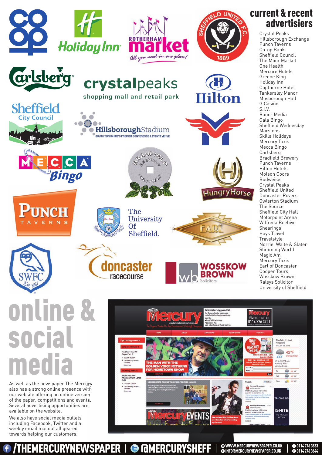

# social media

As well as the newspaper The Mercury also has a strong online presence with our website offering an online version of the paper, competitions and events. Several advertising opportunities are available on the website.

We also have social media outlets including Facebook, Twitter and a weekly email mailout all geared towards helping our customers.

THEMERCURYNEWSPAPER I @ MMERCURYSHEFF



**@WWW.MERCURYNEWSPAPER.CO.UK**<br>@INFO@MERCURYNEWSPAPER.CO.UK

**0** 0114 276 3633 **d** 0114 276 3644